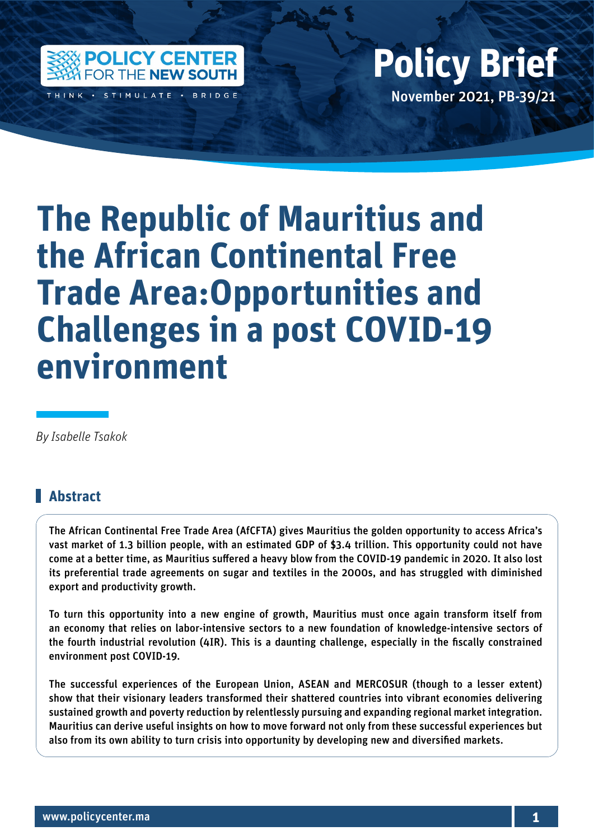

THINK · STIMULATE · BRIDGE

### Policy Center for the New South Policy British Policy British Policy British Policy British Policy British Policy British Policy British Policy British Policy British Policy British Policy British Policy British Policy Bri November 2021, PB-39/21 **Policy Brief**

# **The Republic of Mauritius and the African Continental Free Trade Area:Opportunities and Challenges in a post COVID-19 environment**

*By Isabelle Tsakok*

#### **Abstract**

The African Continental Free Trade Area (AfCFTA) gives Mauritius the golden opportunity to access Africa's vast market of 1.3 billion people, with an estimated GDP of \$3.4 trillion. This opportunity could not have come at a better time, as Mauritius suffered a heavy blow from the COVID-19 pandemic in 2020. It also lost its preferential trade agreements on sugar and textiles in the 2000s, and has struggled with diminished export and productivity growth.

To turn this opportunity into a new engine of growth, Mauritius must once again transform itself from an economy that relies on labor-intensive sectors to a new foundation of knowledge-intensive sectors of the fourth industrial revolution (4IR). This is a daunting challenge, especially in the fiscally constrained environment post COVID-19.

The successful experiences of the European Union, ASEAN and MERCOSUR (though to a lesser extent) show that their visionary leaders transformed their shattered countries into vibrant economies delivering sustained growth and poverty reduction by relentlessly pursuing and expanding regional market integration. Mauritius can derive useful insights on how to move forward not only from these successful experiences but also from its own ability to turn crisis into opportunity by developing new and diversified markets.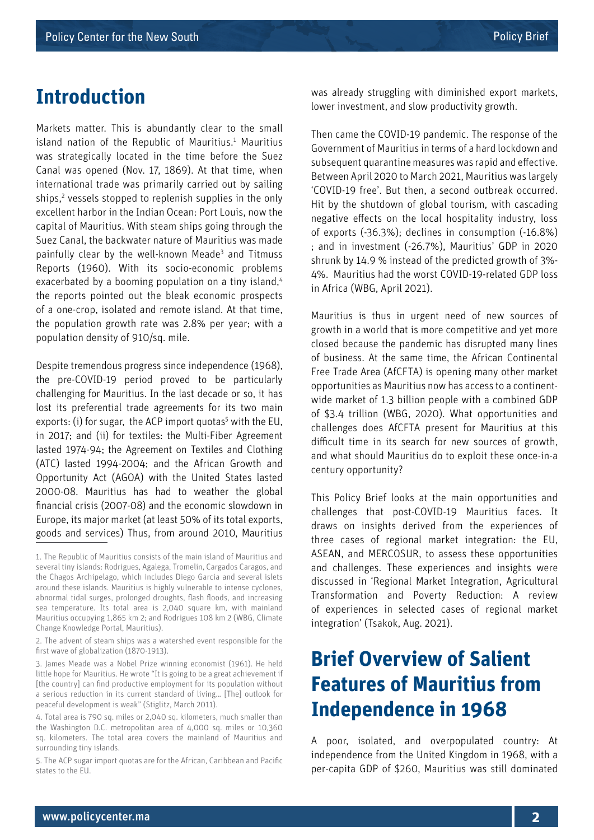### **Introduction**

Markets matter. This is abundantly clear to the small island nation of the Republic of Mauritius. $1$  Mauritius was strategically located in the time before the Suez Canal was opened (Nov. 17, 1869). At that time, when international trade was primarily carried out by sailing ships,<sup>2</sup> vessels stopped to replenish supplies in the only excellent harbor in the Indian Ocean: Port Louis, now the capital of Mauritius. With steam ships going through the Suez Canal, the backwater nature of Mauritius was made painfully clear by the well-known Meade<sup>3</sup> and Titmuss Reports (1960). With its socio-economic problems exacerbated by a booming population on a tiny island,<sup>4</sup> the reports pointed out the bleak economic prospects of a one-crop, isolated and remote island. At that time, the population growth rate was 2.8% per year; with a population density of 910/sq. mile.

Despite tremendous progress since independence (1968), the pre-COVID-19 period proved to be particularly challenging for Mauritius. In the last decade or so, it has lost its preferential trade agreements for its two main exports: (i) for sugar, the ACP import quotas<sup>5</sup> with the EU, in 2017; and (ii) for textiles: the Multi-Fiber Agreement lasted 1974-94; the Agreement on Textiles and Clothing (ATC) lasted 1994-2004; and the African Growth and Opportunity Act (AGOA) with the United States lasted 2000-08. Mauritius has had to weather the global financial crisis (2007-08) and the economic slowdown in Europe, its major market (at least 50% of its total exports, goods and services) Thus, from around 2010, Mauritius

was already struggling with diminished export markets, lower investment, and slow productivity growth.

Then came the COVID-19 pandemic. The response of the Government of Mauritius in terms of a hard lockdown and subsequent quarantine measures was rapid and effective. Between April 2020 to March 2021, Mauritius was largely 'COVID-19 free'. But then, a second outbreak occurred. Hit by the shutdown of global tourism, with cascading negative effects on the local hospitality industry, loss of exports (-36.3%); declines in consumption (-16.8%) ; and in investment (-26.7%), Mauritius' GDP in 2020 shrunk by 14.9 % instead of the predicted growth of 3%- 4%. Mauritius had the worst COVID-19-related GDP loss in Africa (WBG, April 2021).

Mauritius is thus in urgent need of new sources of growth in a world that is more competitive and yet more closed because the pandemic has disrupted many lines of business. At the same time, the African Continental Free Trade Area (AfCFTA) is opening many other market opportunities as Mauritius now has access to a continentwide market of 1.3 billion people with a combined GDP of \$3.4 trillion (WBG, 2020). What opportunities and challenges does AfCFTA present for Mauritius at this difficult time in its search for new sources of growth, and what should Mauritius do to exploit these once-in-a century opportunity?

This Policy Brief looks at the main opportunities and challenges that post-COVID-19 Mauritius faces. It draws on insights derived from the experiences of three cases of regional market integration: the EU, ASEAN, and MERCOSUR, to assess these opportunities and challenges. These experiences and insights were discussed in 'Regional Market Integration, Agricultural Transformation and Poverty Reduction: A review of experiences in selected cases of regional market integration' (Tsakok, Aug. 2021).

### **Brief Overview of Salient Features of Mauritius from Independence in 1968**

A poor, isolated, and overpopulated country: At independence from the United Kingdom in 1968, with a per-capita GDP of \$260, Mauritius was still dominated

<sup>1.</sup> The Republic of Mauritius consists of the main island of Mauritius and several tiny islands: Rodrigues, Agalega, Tromelin, Cargados Caragos, and the Chagos Archipelago, which includes Diego Garcia and several islets around these islands. Mauritius is highly vulnerable to intense cyclones, abnormal tidal surges, prolonged droughts, flash floods, and increasing sea temperature. Its total area is 2,040 square km, with mainland Mauritius occupying 1,865 km 2; and Rodrigues 108 km 2 (WBG, Climate Change Knowledge Portal, Mauritius).

<sup>2.</sup> The advent of steam ships was a watershed event responsible for the first wave of globalization (1870-1913).

<sup>3.</sup> James Meade was a Nobel Prize winning economist (1961). He held little hope for Mauritius. He wrote "It is going to be a great achievement if [the country] can find productive employment for its population without a serious reduction in its current standard of living… [The] outlook for peaceful development is weak" (Stiglitz, March 2011).

<sup>4.</sup> Total area is 790 sq. miles or 2,040 sq. kilometers, much smaller than the Washington D.C. metropolitan area of 4,000 sq. miles or 10,360 sq. kilometers. The total area covers the mainland of Mauritius and surrounding tiny islands.

<sup>5.</sup> The ACP sugar import quotas are for the African, Caribbean and Pacific states to the EU.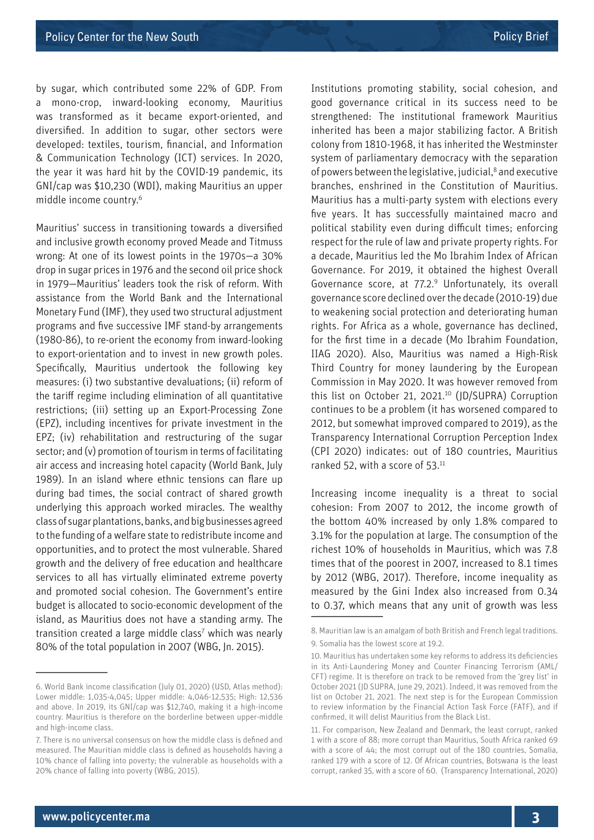by sugar, which contributed some 22% of GDP. From a mono-crop, inward-looking economy, Mauritius was transformed as it became export-oriented, and diversified. In addition to sugar, other sectors were developed: textiles, tourism, financial, and Information & Communication Technology (ICT) services. In 2020, the year it was hard hit by the COVID-19 pandemic, its GNI/cap was \$10,230 (WDI), making Mauritius an upper middle income country.6

Mauritius' success in transitioning towards a diversified and inclusive growth economy proved Meade and Titmuss wrong: At one of its lowest points in the 1970s—a 30% drop in sugar prices in 1976 and the second oil price shock in 1979—Mauritius' leaders took the risk of reform. With assistance from the World Bank and the International Monetary Fund (IMF), they used two structural adjustment programs and five successive IMF stand-by arrangements (1980-86), to re-orient the economy from inward-looking to export-orientation and to invest in new growth poles. Specifically, Mauritius undertook the following key measures: (i) two substantive devaluations; (ii) reform of the tariff regime including elimination of all quantitative restrictions; (iii) setting up an Export-Processing Zone (EPZ), including incentives for private investment in the EPZ; (iv) rehabilitation and restructuring of the sugar sector; and (v) promotion of tourism in terms of facilitating air access and increasing hotel capacity (World Bank, July 1989). In an island where ethnic tensions can flare up during bad times, the social contract of shared growth underlying this approach worked miracles. The wealthy class of sugar plantations, banks, and big businesses agreed to the funding of a welfare state to redistribute income and opportunities, and to protect the most vulnerable. Shared growth and the delivery of free education and healthcare services to all has virtually eliminated extreme poverty and promoted social cohesion. The Government's entire budget is allocated to socio-economic development of the island, as Mauritius does not have a standing army. The transition created a large middle class<sup>7</sup> which was nearly 80% of the total population in 2007 (WBG, Jn. 2015).

Institutions promoting stability, social cohesion, and good governance critical in its success need to be strengthened: The institutional framework Mauritius inherited has been a major stabilizing factor. A British colony from 1810-1968, it has inherited the Westminster system of parliamentary democracy with the separation of powers between the legislative, judicial,<sup>8</sup> and executive branches, enshrined in the Constitution of Mauritius. Mauritius has a multi-party system with elections every five years. It has successfully maintained macro and political stability even during difficult times; enforcing respect for the rule of law and private property rights. For a decade, Mauritius led the Mo Ibrahim Index of African Governance. For 2019, it obtained the highest Overall Governance score, at 77.2.<sup>9</sup> Unfortunately, its overall governance score declined over the decade (2010-19) due to weakening social protection and deteriorating human rights. For Africa as a whole, governance has declined, for the first time in a decade (Mo Ibrahim Foundation, IIAG 2020). Also, Mauritius was named a High-Risk Third Country for money laundering by the European Commission in May 2020. It was however removed from this list on October 21, 2021.<sup>10</sup> (JD/SUPRA) Corruption continues to be a problem (it has worsened compared to 2012, but somewhat improved compared to 2019), as the Transparency International Corruption Perception Index (CPI 2020) indicates: out of 180 countries, Mauritius ranked 52, with a score of 53.11

Increasing income inequality is a threat to social cohesion: From 2007 to 2012, the income growth of the bottom 40% increased by only 1.8% compared to 3.1% for the population at large. The consumption of the richest 10% of households in Mauritius, which was 7.8 times that of the poorest in 2007, increased to 8.1 times by 2012 (WBG, 2017). Therefore, income inequality as measured by the Gini Index also increased from 0.34 to 0.37, which means that any unit of growth was less

<sup>6.</sup> World Bank income classification (July 01, 2020) (USD, Atlas method): Lower middle: 1,035-4,045; Upper middle: 4,046-12,535; High: 12,536 and above. In 2019, its GNI/cap was \$12,740, making it a high-income country. Mauritius is therefore on the borderline between upper-middle and high-income class.

<sup>7.</sup> There is no universal consensus on how the middle class is defined and measured. The Mauritian middle class is defined as households having a 10% chance of falling into poverty; the vulnerable as households with a 20% chance of falling into poverty (WBG, 2015).

<sup>8.</sup> Mauritian law is an amalgam of both British and French legal traditions. 9. Somalia has the lowest score at 19.2.

<sup>10.</sup> Mauritius has undertaken some key reforms to address its deficiencies in its Anti-Laundering Money and Counter Financing Terrorism (AML/ CFT) regime. It is therefore on track to be removed from the 'grey list' in October 2021 (JD SUPRA, June 29, 2021). Indeed, it was removed from the list on October 21, 2021. The next step is for the European Commission to review information by the Financial Action Task Force (FATF), and if confirmed, it will delist Mauritius from the Black List.

<sup>11.</sup> For comparison, New Zealand and Denmark, the least corrupt, ranked 1 with a score of 88; more corrupt than Mauritius, South Africa ranked 69 with a score of 44; the most corrupt out of the 180 countries, Somalia, ranked 179 with a score of 12. Of African countries, Botswana is the least corrupt, ranked 35, with a score of 60. (Transparency International, 2020)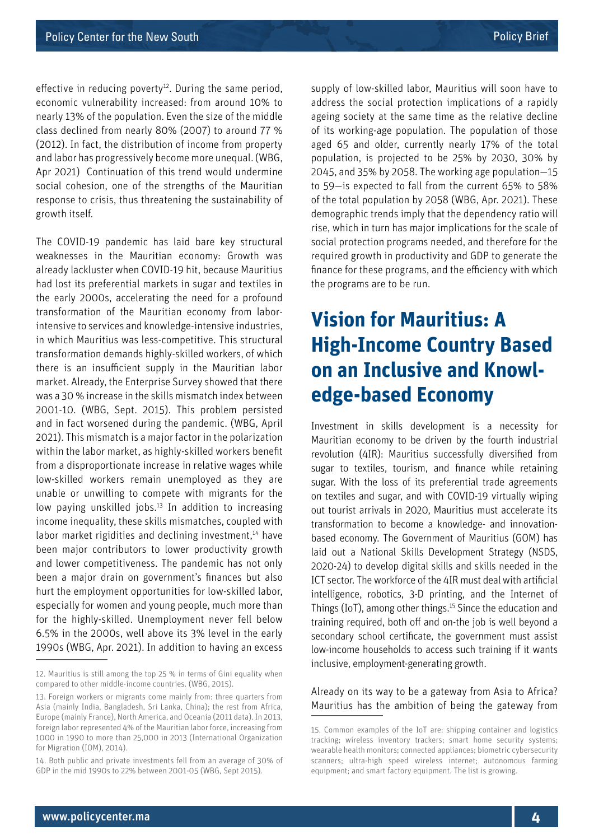effective in reducing poverty<sup>12</sup>. During the same period, economic vulnerability increased: from around 10% to nearly 13% of the population. Even the size of the middle class declined from nearly 80% (2007) to around 77 % (2012). In fact, the distribution of income from property and labor has progressively become more unequal. (WBG, Apr 2021) Continuation of this trend would undermine social cohesion, one of the strengths of the Mauritian response to crisis, thus threatening the sustainability of growth itself.

The COVID-19 pandemic has laid bare key structural weaknesses in the Mauritian economy: Growth was already lackluster when COVID-19 hit, because Mauritius had lost its preferential markets in sugar and textiles in the early 2000s, accelerating the need for a profound transformation of the Mauritian economy from laborintensive to services and knowledge-intensive industries, in which Mauritius was less-competitive. This structural transformation demands highly-skilled workers, of which there is an insufficient supply in the Mauritian labor market. Already, the Enterprise Survey showed that there was a 30 % increase in the skills mismatch index between 2001-10. (WBG, Sept. 2015). This problem persisted and in fact worsened during the pandemic. (WBG, April 2021). This mismatch is a major factor in the polarization within the labor market, as highly-skilled workers benefit from a disproportionate increase in relative wages while low-skilled workers remain unemployed as they are unable or unwilling to compete with migrants for the low paying unskilled jobs.<sup>13</sup> In addition to increasing income inequality, these skills mismatches, coupled with labor market rigidities and declining investment,<sup>14</sup> have been major contributors to lower productivity growth and lower competitiveness. The pandemic has not only been a major drain on government's finances but also hurt the employment opportunities for low-skilled labor, especially for women and young people, much more than for the highly-skilled. Unemployment never fell below 6.5% in the 2000s, well above its 3% level in the early 1990s (WBG, Apr. 2021). In addition to having an excess

supply of low-skilled labor, Mauritius will soon have to address the social protection implications of a rapidly ageing society at the same time as the relative decline of its working-age population. The population of those aged 65 and older, currently nearly 17% of the total population, is projected to be 25% by 2030, 30% by 2045, and 35% by 2058. The working age population—15 to 59—is expected to fall from the current 65% to 58% of the total population by 2058 (WBG, Apr. 2021). These demographic trends imply that the dependency ratio will rise, which in turn has major implications for the scale of social protection programs needed, and therefore for the required growth in productivity and GDP to generate the finance for these programs, and the efficiency with which the programs are to be run.

# **Vision for Mauritius: A High-Income Country Based on an Inclusive and Knowledge-based Economy**

Investment in skills development is a necessity for Mauritian economy to be driven by the fourth industrial revolution (4IR): Mauritius successfully diversified from sugar to textiles, tourism, and finance while retaining sugar. With the loss of its preferential trade agreements on textiles and sugar, and with COVID-19 virtually wiping out tourist arrivals in 2020, Mauritius must accelerate its transformation to become a knowledge- and innovationbased economy. The Government of Mauritius (GOM) has laid out a National Skills Development Strategy (NSDS, 2020-24) to develop digital skills and skills needed in the ICT sector. The workforce of the 4IR must deal with artificial intelligence, robotics, 3-D printing, and the Internet of Things (IoT), among other things.15 Since the education and training required, both off and on-the job is well beyond a secondary school certificate, the government must assist low-income households to access such training if it wants inclusive, employment-generating growth.

Already on its way to be a gateway from Asia to Africa? Mauritius has the ambition of being the gateway from

<sup>12.</sup> Mauritius is still among the top 25 % in terms of Gini equality when compared to other middle-income countries. (WBG, 2015).

<sup>13.</sup> Foreign workers or migrants come mainly from: three quarters from Asia (mainly India, Bangladesh, Sri Lanka, China); the rest from Africa, Europe (mainly France), North America, and Oceania (2011 data). In 2013, foreign labor represented 4% of the Mauritian labor force, increasing from 1000 in 1990 to more than 25,000 in 2013 (International Organization for Migration (IOM), 2014).

<sup>14.</sup> Both public and private investments fell from an average of 30% of GDP in the mid 1990s to 22% between 2001-05 (WBG, Sept 2015).

<sup>15.</sup> Common examples of the IoT are: shipping container and logistics tracking; wireless inventory trackers; smart home security systems; wearable health monitors; connected appliances; biometric cybersecurity scanners; ultra-high speed wireless internet; autonomous farming equipment; and smart factory equipment. The list is growing.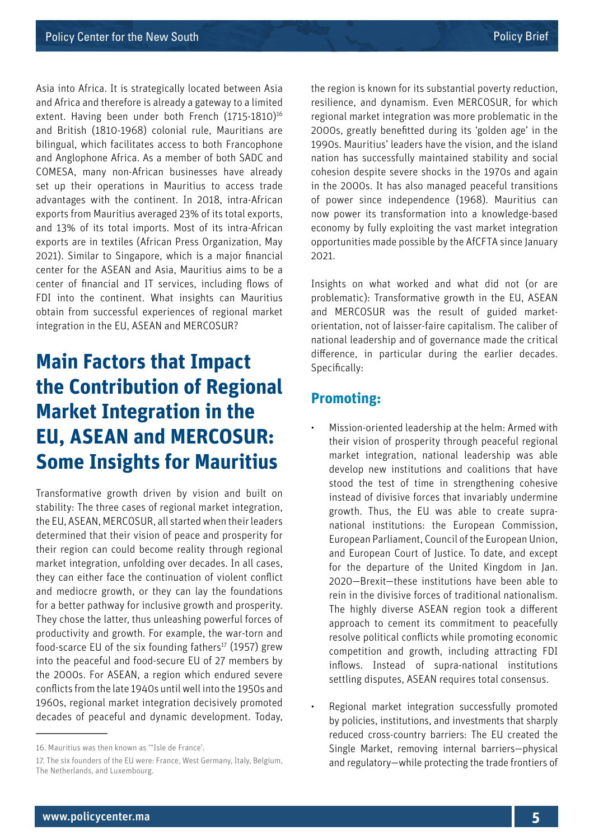Asia into Africa. It is strategically located between Asia and Africa and therefore is already a gateway to a limited extent. Having been under both French (1715-1810)<sup>16</sup> and British (1810-1968) colonial rule, Mauritians are bilingual, which facilitates access to both Francophone and Anglophone Africa. As a member of both SADC and COMESA, many non-African businesses have already set up their operations in Mauritius to access trade advantages with the continent. In 2018, intra-African exports from Mauritius averaged 23% of its total exports, and 13% of its total imports. Most of its intra-African exports are in textiles (African Press Organization, May 2021). Similar to Singapore, which is a major financial center for the ASEAN and Asia, Mauritius aims to be a center of financial and IT services, including flows of FDI into the continent. What insights can Mauritius obtain from successful experiences of regional market integration in the EU, ASEAN and MERCOSUR?

# **Main Factors that Impact the Contribution of Regional Market Integration in the EU, ASEAN and MERCOSUR: Some Insights for Mauritius**

Transformative growth driven by vision and built on stability: The three cases of regional market integration, the EU, ASEAN, MERCOSUR, all started when their leaders determined that their vision of peace and prosperity for their region can could become reality through regional market integration, unfolding over decades. In all cases, they can either face the continuation of violent conflict and mediocre growth, or they can lay the foundations for a better pathway for inclusive growth and prosperity. They chose the latter, thus unleashing powerful forces of productivity and growth. For example, the war-torn and food-scarce EU of the six founding fathers $17$  (1957) grew into the peaceful and food-secure EU of 27 members by the 2000s. For ASEAN, a region which endured severe conflicts from the late 1940s until well into the 1950s and 1960s, regional market integration decisively promoted decades of peaceful and dynamic development. Today,

the region is known for its substantial poverty reduction, resilience, and dynamism. Even MERCOSUR, for which regional market integration was more problematic in the 2000s, greatly benefitted during its 'golden age' in the 1990s. Mauritius' leaders have the vision, and the island nation has successfully maintained stability and social cohesion despite severe shocks in the 1970s and again in the 2000s. It has also managed peaceful transitions of power since independence (1968). Mauritius can now power its transformation into a knowledge-based economy by fully exploiting the vast market integration opportunities made possible by the AfCFTA since January 2021.

Insights on what worked and what did not (or are problematic): Transformative growth in the EU, ASEAN and MERCOSUR was the result of guided marketorientation, not of laisser-faire capitalism. The caliber of national leadership and of governance made the critical difference, in particular during the earlier decades. Specifically:

#### **Promoting:**

- Mission-oriented leadership at the helm: Armed with their vision of prosperity through peaceful regional market integration, national leadership was able develop new institutions and coalitions that have stood the test of time in strengthening cohesive instead of divisive forces that invariably undermine growth. Thus, the EU was able to create supranational institutions: the European Commission, European Parliament, Council of the European Union, and European Court of Justice. To date, and except for the departure of the United Kingdom in Jan. 2020—Brexit—these institutions have been able to rein in the divisive forces of traditional nationalism. The highly diverse ASEAN region took a different approach to cement its commitment to peacefully resolve political conflicts while promoting economic competition and growth, including attracting FDI inflows. Instead of supra-national institutions settling disputes, ASEAN requires total consensus.
- Regional market integration successfully promoted by policies, institutions, and investments that sharply reduced cross-country barriers: The EU created the Single Market, removing internal barriers—physical and regulatory—while protecting the trade frontiers of

<sup>16.</sup> Mauritius was then known as '"Isle de France'.

<sup>17.</sup> The six founders of the EU were: France, West Germany, Italy, Belgium, The Netherlands, and Luxembourg.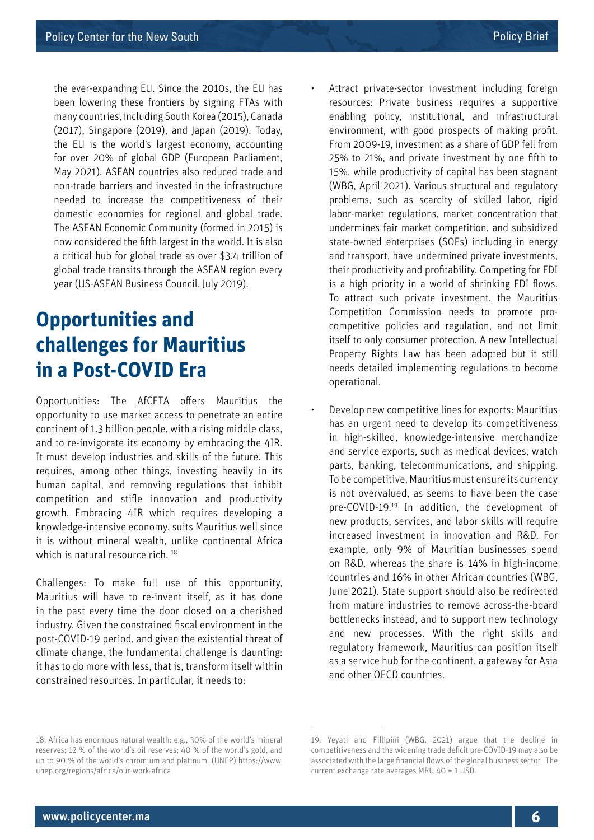the ever-expanding EU. Since the 2010s, the EU has been lowering these frontiers by signing FTAs with many countries, including South Korea (2015), Canada (2017), Singapore (2019), and Japan (2019). Today, the EU is the world's largest economy, accounting for over 20% of global GDP (European Parliament, May 2021). ASEAN countries also reduced trade and non-trade barriers and invested in the infrastructure needed to increase the competitiveness of their domestic economies for regional and global trade. The ASEAN Economic Community (formed in 2015) is now considered the fifth largest in the world. It is also a critical hub for global trade as over \$3.4 trillion of global trade transits through the ASEAN region every year (US-ASEAN Business Council, July 2019).

## **Opportunities and challenges for Mauritius in a Post-COVID Era**

Opportunities: The AfCFTA offers Mauritius the opportunity to use market access to penetrate an entire continent of 1.3 billion people, with a rising middle class, and to re-invigorate its economy by embracing the 4IR. It must develop industries and skills of the future. This requires, among other things, investing heavily in its human capital, and removing regulations that inhibit competition and stifle innovation and productivity growth. Embracing 4IR which requires developing a knowledge-intensive economy, suits Mauritius well since it is without mineral wealth, unlike continental Africa which is natural resource rich.<sup>18</sup>

Challenges: To make full use of this opportunity, Mauritius will have to re-invent itself, as it has done in the past every time the door closed on a cherished industry. Given the constrained fiscal environment in the post-COVID-19 period, and given the existential threat of climate change, the fundamental challenge is daunting: it has to do more with less, that is, transform itself within constrained resources. In particular, it needs to:

Attract private-sector investment including foreign resources: Private business requires a supportive enabling policy, institutional, and infrastructural environment, with good prospects of making profit. From 2009-19, investment as a share of GDP fell from 25% to 21%, and private investment by one fifth to 15%, while productivity of capital has been stagnant (WBG, April 2021). Various structural and regulatory problems, such as scarcity of skilled labor, rigid labor-market regulations, market concentration that undermines fair market competition, and subsidized state-owned enterprises (SOEs) including in energy and transport, have undermined private investments, their productivity and profitability. Competing for FDI is a high priority in a world of shrinking FDI flows. To attract such private investment, the Mauritius Competition Commission needs to promote procompetitive policies and regulation, and not limit itself to only consumer protection. A new Intellectual Property Rights Law has been adopted but it still needs detailed implementing regulations to become operational.

• Develop new competitive lines for exports: Mauritius has an urgent need to develop its competitiveness in high-skilled, knowledge-intensive merchandize and service exports, such as medical devices, watch parts, banking, telecommunications, and shipping. To be competitive, Mauritius must ensure its currency is not overvalued, as seems to have been the case pre-COVID-19.19 In addition, the development of new products, services, and labor skills will require increased investment in innovation and R&D. For example, only 9% of Mauritian businesses spend on R&D, whereas the share is 14% in high-income countries and 16% in other African countries (WBG, June 2021). State support should also be redirected from mature industries to remove across-the-board bottlenecks instead, and to support new technology and new processes. With the right skills and regulatory framework, Mauritius can position itself as a service hub for the continent, a gateway for Asia and other OECD countries.

<sup>18.</sup> Africa has enormous natural wealth: e.g., 30% of the world's mineral reserves; 12 % of the world's oil reserves; 40 % of the world's gold, and up to 90 % of the world's chromium and platinum. (UNEP) [https://www.](https://www.unep.org/regions/africa/our-work-africa) [unep.org/regions/africa/our-work-africa](https://www.unep.org/regions/africa/our-work-africa)

<sup>19.</sup> Yeyati and Fillipini (WBG, 2021) argue that the decline in competitiveness and the widening trade deficit pre-COVID-19 may also be associated with the large financial flows of the global business sector. The current exchange rate averages MRU 40 = 1 USD.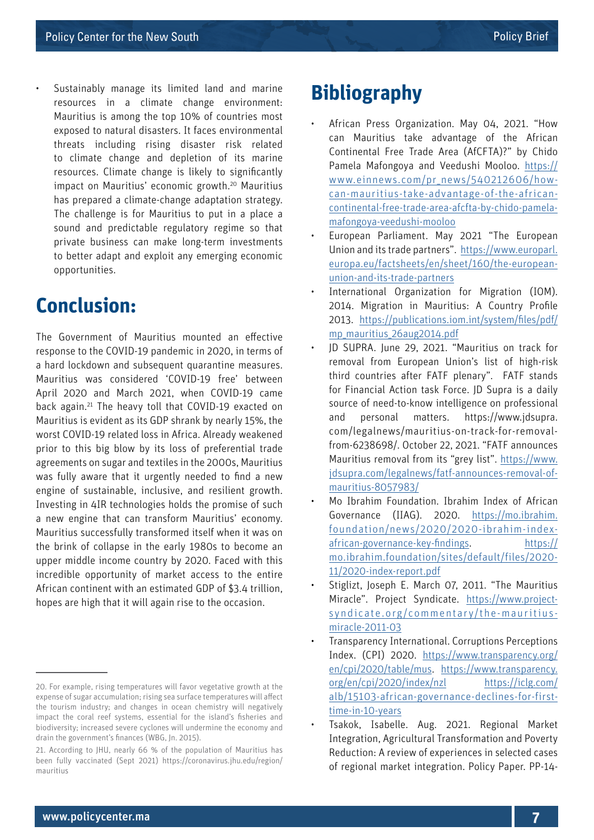Sustainably manage its limited land and marine resources in a climate change environment: Mauritius is among the top 10% of countries most exposed to natural disasters. It faces environmental threats including rising disaster risk related to climate change and depletion of its marine resources. Climate change is likely to significantly impact on Mauritius' economic growth.20 Mauritius has prepared a climate-change adaptation strategy. The challenge is for Mauritius to put in a place a sound and predictable regulatory regime so that private business can make long-term investments to better adapt and exploit any emerging economic opportunities.

### **Conclusion:**

The Government of Mauritius mounted an effective response to the COVID-19 pandemic in 2020, in terms of a hard lockdown and subsequent quarantine measures. Mauritius was considered 'COVID-19 free' between April 2020 and March 2021, when COVID-19 came back again.21 The heavy toll that COVID-19 exacted on Mauritius is evident as its GDP shrank by nearly 15%, the worst COVID-19 related loss in Africa. Already weakened prior to this big blow by its loss of preferential trade agreements on sugar and textiles in the 2000s, Mauritius was fully aware that it urgently needed to find a new engine of sustainable, inclusive, and resilient growth. Investing in 4IR technologies holds the promise of such a new engine that can transform Mauritius' economy. Mauritius successfully transformed itself when it was on the brink of collapse in the early 1980s to become an upper middle income country by 2020. Faced with this incredible opportunity of market access to the entire African continent with an estimated GDP of \$3.4 trillion, hopes are high that it will again rise to the occasion.

### **Bibliography**

- African Press Organization. May 04, 2021. "How can Mauritius take advantage of the African Continental Free Trade Area (AfCFTA)?" by Chido Pamela Mafongoya and Veedushi Mooloo. [https://](https://www.einnews.com/pr_news/540212606/how-can-mauritius-take-advantage-of-the-african-continental-free-trade-area-afcfta-by-chido-pamela-mafongoya-veedushi-mooloo) [www.einnews.com/pr\\_news/540212606/how](https://www.einnews.com/pr_news/540212606/how-can-mauritius-take-advantage-of-the-african-continental-free-trade-area-afcfta-by-chido-pamela-mafongoya-veedushi-mooloo)[can-mauritius-take-advantage-of-the-african](https://www.einnews.com/pr_news/540212606/how-can-mauritius-take-advantage-of-the-african-continental-free-trade-area-afcfta-by-chido-pamela-mafongoya-veedushi-mooloo)[continental-free-trade-area-afcfta-by-chido-pamela](https://www.einnews.com/pr_news/540212606/how-can-mauritius-take-advantage-of-the-african-continental-free-trade-area-afcfta-by-chido-pamela-mafongoya-veedushi-mooloo)[mafongoya-veedushi-mooloo](https://www.einnews.com/pr_news/540212606/how-can-mauritius-take-advantage-of-the-african-continental-free-trade-area-afcfta-by-chido-pamela-mafongoya-veedushi-mooloo)
- European Parliament. May 2021 "The European Union and its trade partners". [https://www.europarl.](https://www.europarl.europa.eu/factsheets/en/sheet/160/the-european-union-and-its-trade-partners) [europa.eu/factsheets/en/sheet/160/the-european](https://www.europarl.europa.eu/factsheets/en/sheet/160/the-european-union-and-its-trade-partners)[union-and-its-trade-partners](https://www.europarl.europa.eu/factsheets/en/sheet/160/the-european-union-and-its-trade-partners)
- International Organization for Migration (IOM). 2014. Migration in Mauritius: A Country Profile 2013. [https://publications.iom.int/system/files/pdf/](https://publications.iom.int/system/files/pdf/mp_mauritius_26aug2014.pdf) [mp\\_mauritius\\_26aug2014.pdf](https://publications.iom.int/system/files/pdf/mp_mauritius_26aug2014.pdf)
- JD SUPRA. June 29, 2021. "Mauritius on track for removal from European Union's list of high-risk third countries after FATF plenary". FATF stands for Financial Action task Force. JD Supra is a daily source of need-to-know intelligence on professional and personal matters. https://www.jdsupra. com/legalnews/mauritius-on-track-for-removalfrom-6238698/. October 22, 2021. "FATF announces Mauritius removal from its "grey list". [https://www.](https://www.jdsupra.com/legalnews/fatf-announces-removal-of-mauritius-8057983/) [jdsupra.com/legalnews/fatf-announces-removal-of](https://www.jdsupra.com/legalnews/fatf-announces-removal-of-mauritius-8057983/)[mauritius-8057983/](https://www.jdsupra.com/legalnews/fatf-announces-removal-of-mauritius-8057983/)
- Mo Ibrahim Foundation. Ibrahim Index of African Governance (IIAG). 2020. [https://mo.ibrahim.](https://mo.ibrahim.foundation/news/2020/2020-ibrahim-index-african-governance-key-findings) [foundation/news/2020/2020-ibrahim-index](https://mo.ibrahim.foundation/news/2020/2020-ibrahim-index-african-governance-key-findings)[african-governance-key-findings](https://mo.ibrahim.foundation/news/2020/2020-ibrahim-index-african-governance-key-findings). [https://](https://mo.ibrahim.foundation/sites/default/files/2020-11/2020-index-report.pdf) [mo.ibrahim.foundation/sites/default/files/2020-](https://mo.ibrahim.foundation/sites/default/files/2020-11/2020-index-report.pdf) [11/2020-index-report.pdf](https://mo.ibrahim.foundation/sites/default/files/2020-11/2020-index-report.pdf)
- Stiglizt, Joseph E. March 07, 2011. "The Mauritius Miracle". Project Syndicate. [https://www.project](https://www.project-syndicate.org/commentary/the-mauritius-miracle-2011-03)[syndicate.org/commentary/the-mauritius](https://www.project-syndicate.org/commentary/the-mauritius-miracle-2011-03)[miracle-2011-03](https://www.project-syndicate.org/commentary/the-mauritius-miracle-2011-03)
- Transparency International. Corruptions Perceptions Index. (CPI) 2020. [https://www.transparency.org/](https://www.transparency.org/en/cpi/2020/table/mus) [en/cpi/2020/table/mus.](https://www.transparency.org/en/cpi/2020/table/mus) [https://www.transparency.](https://www.transparency.org/en/cpi/2020/index/nzl) [org/en/cpi/2020/index/nzl](https://www.transparency.org/en/cpi/2020/index/nzl) [https://iclg.com/](https://iclg.com/alb/15103-african-governance-declines-for-first-time-in-10-years) [alb/15103-african-governance-declines-for-first](https://iclg.com/alb/15103-african-governance-declines-for-first-time-in-10-years)[time-in-10-years](https://iclg.com/alb/15103-african-governance-declines-for-first-time-in-10-years)
- Tsakok, Isabelle. Aug. 2021. Regional Market Integration, Agricultural Transformation and Poverty Reduction: A review of experiences in selected cases of regional market integration. Policy Paper. PP-14-

<sup>20.</sup> For example, rising temperatures will favor vegetative growth at the expense of sugar accumulation; rising sea surface temperatures will affect the tourism industry; and changes in ocean chemistry will negatively impact the coral reef systems, essential for the island's fisheries and biodiversity; increased severe cyclones will undermine the economy and drain the government's finances (WBG, Jn. 2015).

<sup>21.</sup> According to JHU, nearly 66 % of the population of Mauritius has been fully vaccinated (Sept 2021) https://coronavirus.jhu.edu/region/ mauritius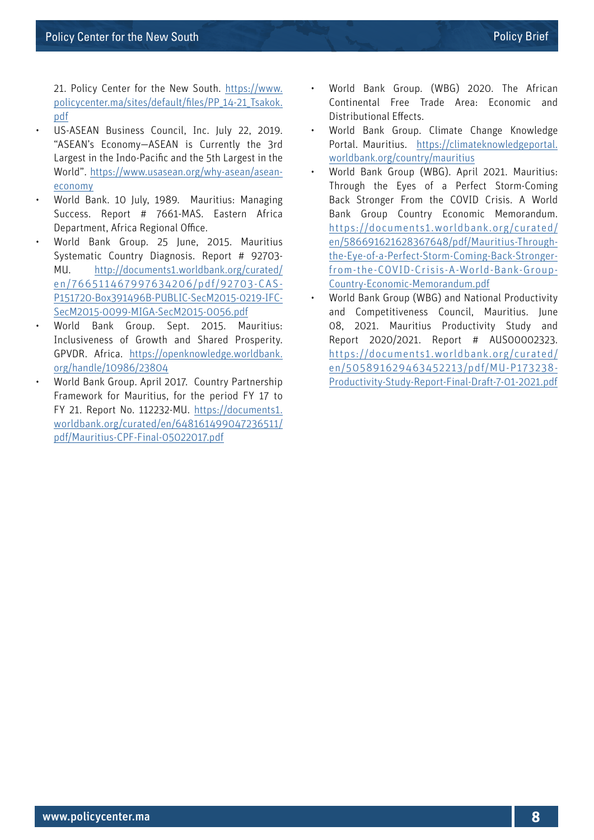21. Policy Center for the New South. [https://www.](https://www.policycenter.ma/sites/default/files/PP_14-21_Tsakok.pdf) [policycenter.ma/sites/default/files/PP\\_14-21\\_Tsakok.](https://www.policycenter.ma/sites/default/files/PP_14-21_Tsakok.pdf) [pdf](https://www.policycenter.ma/sites/default/files/PP_14-21_Tsakok.pdf)

- US-ASEAN Business Council, Inc. July 22, 2019. "ASEAN's Economy—ASEAN is Currently the 3rd Largest in the Indo-Pacific and the 5th Largest in the World". [https://www.usasean.org/why-asean/asean](https://www.usasean.org/why-asean/asean-economy)[economy](https://www.usasean.org/why-asean/asean-economy)
- World Bank. 10 July, 1989. Mauritius: Managing Success. Report # 7661-MAS. Eastern Africa Department, Africa Regional Office.
- World Bank Group. 25 June, 2015. Mauritius Systematic Country Diagnosis. Report # 92703- MU. [http://documents1.worldbank.org/curated/](http://documents1.worldbank.org/curated/en/766511467997634206/pdf/92703-CAS-P151720-Box391496B-PUBLIC-SecM2015-0219-IFC-SecM2015-0099-MIGA-SecM2015-0056.pdf) [en/766511467997634206/pdf/92703-CAS-](http://documents1.worldbank.org/curated/en/766511467997634206/pdf/92703-CAS-P151720-Box391496B-PUBLIC-SecM2015-0219-IFC-SecM2015-0099-MIGA-SecM2015-0056.pdf)[P151720-Box391496B-PUBLIC-SecM2015-0219-IFC-](http://documents1.worldbank.org/curated/en/766511467997634206/pdf/92703-CAS-P151720-Box391496B-PUBLIC-SecM2015-0219-IFC-SecM2015-0099-MIGA-SecM2015-0056.pdf)[SecM2015-0099-MIGA-SecM2015-0056.pdf](http://documents1.worldbank.org/curated/en/766511467997634206/pdf/92703-CAS-P151720-Box391496B-PUBLIC-SecM2015-0219-IFC-SecM2015-0099-MIGA-SecM2015-0056.pdf)
- World Bank Group. Sept. 2015. Mauritius: Inclusiveness of Growth and Shared Prosperity. GPVDR. Africa. [https://openknowledge.worldbank.](https://openknowledge.worldbank.org/handle/10986/23804) [org/handle/10986/23804](https://openknowledge.worldbank.org/handle/10986/23804)
- World Bank Group. April 2017. Country Partnership Framework for Mauritius, for the period FY 17 to FY 21. Report No. 112232-MU. [https://documents1.](https://documents1.worldbank.org/curated/en/648161499047236511/pdf/Mauritius-CPF-Final-05022017.pdf) [worldbank.org/curated/en/648161499047236511/](https://documents1.worldbank.org/curated/en/648161499047236511/pdf/Mauritius-CPF-Final-05022017.pdf) [pdf/Mauritius-CPF-Final-05022017.pdf](https://documents1.worldbank.org/curated/en/648161499047236511/pdf/Mauritius-CPF-Final-05022017.pdf)
- World Bank Group. (WBG) 2020. The African Continental Free Trade Area: Economic and Distributional Effects.
- World Bank Group. Climate Change Knowledge Portal. Mauritius. [https://climateknowledgeportal.](https://climateknowledgeportal.worldbank.org/country/mauritius) [worldbank.org/country/mauritius](https://climateknowledgeportal.worldbank.org/country/mauritius)
- World Bank Group (WBG). April 2021. Mauritius: Through the Eyes of a Perfect Storm-Coming Back Stronger From the COVID Crisis. A World Bank Group Country Economic Memorandum. [https://documents1.worldbank.org/curated/](https://documents1.worldbank.org/curated/en/586691621628367648/pdf/Mauritius-Through-the-Eye-of-a-Perfect-Storm-Coming-Back-Stronger-from-the-COVID-Crisis-A-World-Bank-Group-Country-Economic-Memorandum.pdf) [en/586691621628367648/pdf/Mauritius-Through](https://documents1.worldbank.org/curated/en/586691621628367648/pdf/Mauritius-Through-the-Eye-of-a-Perfect-Storm-Coming-Back-Stronger-from-the-COVID-Crisis-A-World-Bank-Group-Country-Economic-Memorandum.pdf)[the-Eye-of-a-Perfect-Storm-Coming-Back-Stronger](https://documents1.worldbank.org/curated/en/586691621628367648/pdf/Mauritius-Through-the-Eye-of-a-Perfect-Storm-Coming-Back-Stronger-from-the-COVID-Crisis-A-World-Bank-Group-Country-Economic-Memorandum.pdf)[from-the-COVID-Crisis-A-World-Bank-Group-](https://documents1.worldbank.org/curated/en/586691621628367648/pdf/Mauritius-Through-the-Eye-of-a-Perfect-Storm-Coming-Back-Stronger-from-the-COVID-Crisis-A-World-Bank-Group-Country-Economic-Memorandum.pdf)[Country-Economic-Memorandum.pdf](https://documents1.worldbank.org/curated/en/586691621628367648/pdf/Mauritius-Through-the-Eye-of-a-Perfect-Storm-Coming-Back-Stronger-from-the-COVID-Crisis-A-World-Bank-Group-Country-Economic-Memorandum.pdf)
- World Bank Group (WBG) and National Productivity and Competitiveness Council, Mauritius. June 08, 2021. Mauritius Productivity Study and Report 2020/2021. Report # AUS00002323. [https://documents1.worldbank.org/curated/](https://documents1.worldbank.org/curated/en/505891629463452213/pdf/MU-P173238-Productivity-Study-Report-Final-Draft-7-01-2021.pdf) [en/505891629463452213/pdf/MU-P173238-](https://documents1.worldbank.org/curated/en/505891629463452213/pdf/MU-P173238-Productivity-Study-Report-Final-Draft-7-01-2021.pdf) [Productivity-Study-Report-Final-Draft-7-01-2021.pdf](https://documents1.worldbank.org/curated/en/505891629463452213/pdf/MU-P173238-Productivity-Study-Report-Final-Draft-7-01-2021.pdf)